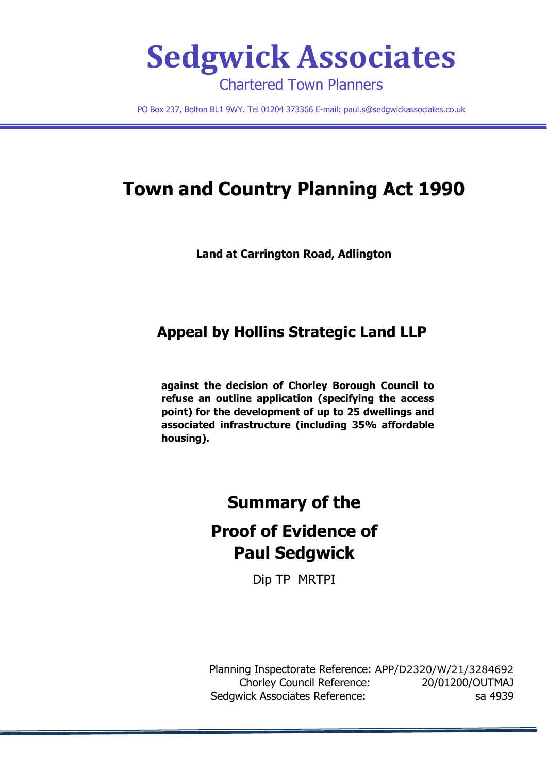

PO Box 237, Bolton BL1 9WY. Tel 01204 373366 E-mail: [paul.s@sedgwickassociates.co.uk](mailto:paul.s@sedgwickassociates.co.uk)

# **Town and Country Planning Act 1990**

**Land at Carrington Road, Adlington**

# **Appeal by Hollins Strategic Land LLP**

**against the decision of Chorley Borough Council to refuse an outline application (specifying the access point) for the development of up to 25 dwellings and associated infrastructure (including 35% affordable housing).**

# **Summary of the**

# **Proof of Evidence of Paul Sedgwick**

Dip TP MRTPI

Planning Inspectorate Reference: APP/D2320/W/21/3284692 Chorley Council Reference: 20/01200/OUTMAJ Sedgwick Associates Reference: sa 4939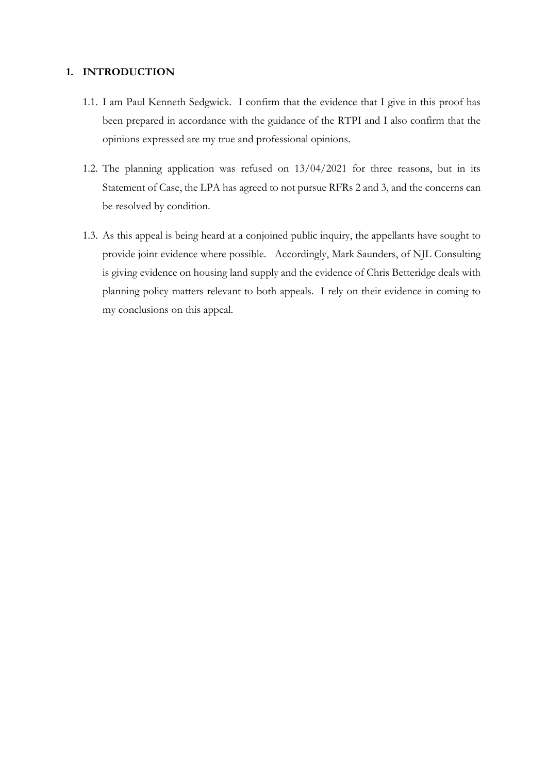# **1. INTRODUCTION**

- 1.1. I am Paul Kenneth Sedgwick. I confirm that the evidence that I give in this proof has been prepared in accordance with the guidance of the RTPI and I also confirm that the opinions expressed are my true and professional opinions.
- 1.2. The planning application was refused on 13/04/2021 for three reasons, but in its Statement of Case, the LPA has agreed to not pursue RFRs 2 and 3, and the concerns can be resolved by condition.
- 1.3. As this appeal is being heard at a conjoined public inquiry, the appellants have sought to provide joint evidence where possible. Accordingly, Mark Saunders, of NJL Consulting is giving evidence on housing land supply and the evidence of Chris Betteridge deals with planning policy matters relevant to both appeals. I rely on their evidence in coming to my conclusions on this appeal.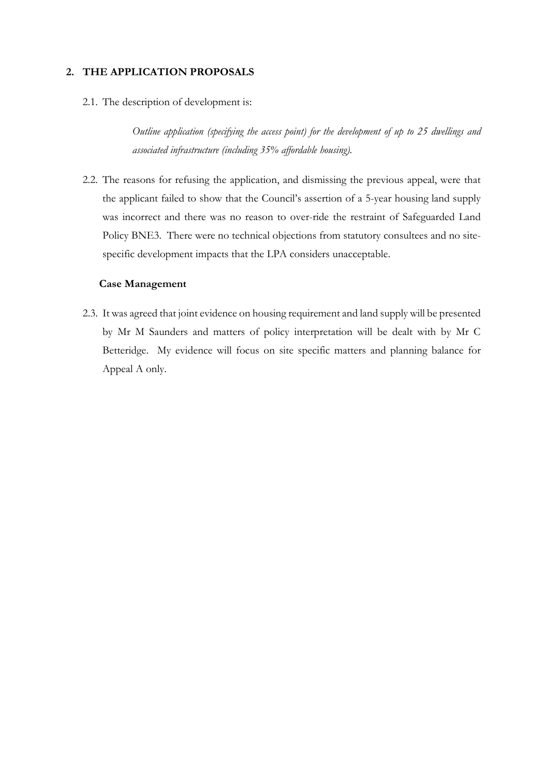# **2. THE APPLICATION PROPOSALS**

2.1. The description of development is:

*Outline application (specifying the access point) for the development of up to 25 dwellings and associated infrastructure (including 35% affordable housing).*

2.2. The reasons for refusing the application, and dismissing the previous appeal, were that the applicant failed to show that the Council's assertion of a 5-year housing land supply was incorrect and there was no reason to over-ride the restraint of Safeguarded Land Policy BNE3. There were no technical objections from statutory consultees and no sitespecific development impacts that the LPA considers unacceptable.

#### **Case Management**

2.3. It was agreed that joint evidence on housing requirement and land supply will be presented by Mr M Saunders and matters of policy interpretation will be dealt with by Mr C Betteridge. My evidence will focus on site specific matters and planning balance for Appeal A only.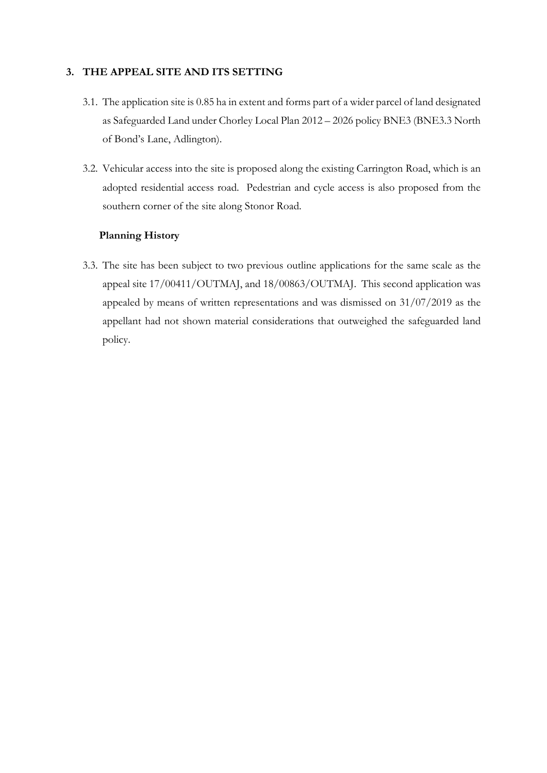# **3. THE APPEAL SITE AND ITS SETTING**

- 3.1. The application site is 0.85 ha in extent and forms part of a wider parcel of land designated as Safeguarded Land under Chorley Local Plan 2012 – 2026 policy BNE3 (BNE3.3 North of Bond's Lane, Adlington).
- 3.2. Vehicular access into the site is proposed along the existing Carrington Road, which is an adopted residential access road. Pedestrian and cycle access is also proposed from the southern corner of the site along Stonor Road.

### **Planning History**

3.3. The site has been subject to two previous outline applications for the same scale as the appeal site 17/00411/OUTMAJ, and 18/00863/OUTMAJ. This second application was appealed by means of written representations and was dismissed on 31/07/2019 as the appellant had not shown material considerations that outweighed the safeguarded land policy.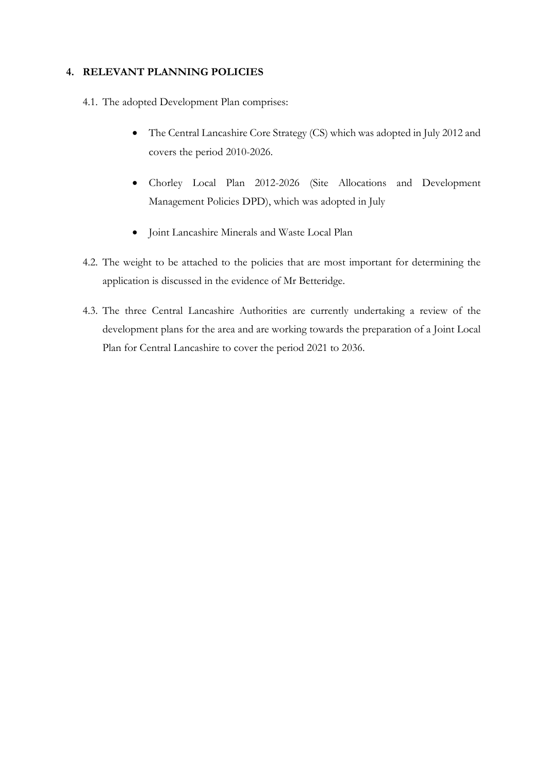# **4. RELEVANT PLANNING POLICIES**

- 4.1. The adopted Development Plan comprises:
	- The Central Lancashire Core Strategy (CS) which was adopted in July 2012 and covers the period 2010-2026.
	- Chorley Local Plan 2012-2026 (Site Allocations and Development Management Policies DPD), which was adopted in July
	- Joint Lancashire Minerals and Waste Local Plan
- 4.2. The weight to be attached to the policies that are most important for determining the application is discussed in the evidence of Mr Betteridge.
- 4.3. The three Central Lancashire Authorities are currently undertaking a review of the development plans for the area and are working towards the preparation of a Joint Local Plan for Central Lancashire to cover the period 2021 to 2036.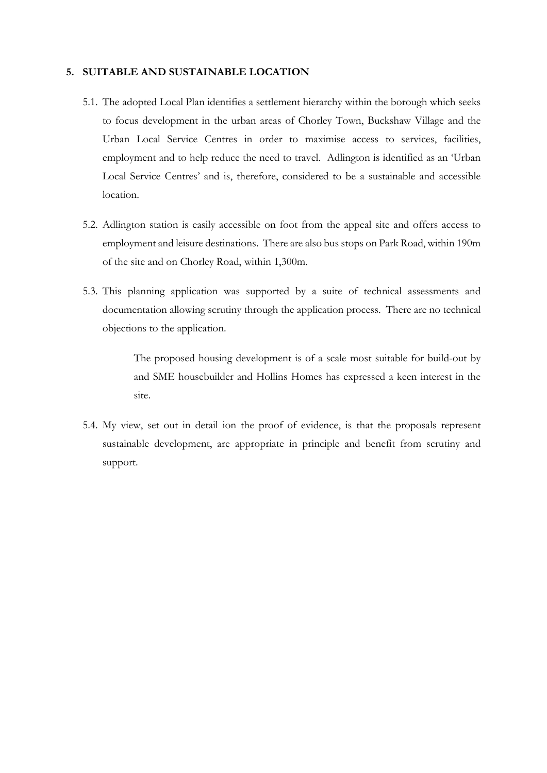#### **5. SUITABLE AND SUSTAINABLE LOCATION**

- 5.1. The adopted Local Plan identifies a settlement hierarchy within the borough which seeks to focus development in the urban areas of Chorley Town, Buckshaw Village and the Urban Local Service Centres in order to maximise access to services, facilities, employment and to help reduce the need to travel. Adlington is identified as an 'Urban Local Service Centres' and is, therefore, considered to be a sustainable and accessible location.
- 5.2. Adlington station is easily accessible on foot from the appeal site and offers access to employment and leisure destinations. There are also bus stops on Park Road, within 190m of the site and on Chorley Road, within 1,300m.
- 5.3. This planning application was supported by a suite of technical assessments and documentation allowing scrutiny through the application process. There are no technical objections to the application.

The proposed housing development is of a scale most suitable for build-out by and SME housebuilder and Hollins Homes has expressed a keen interest in the site.

5.4. My view, set out in detail ion the proof of evidence, is that the proposals represent sustainable development, are appropriate in principle and benefit from scrutiny and support.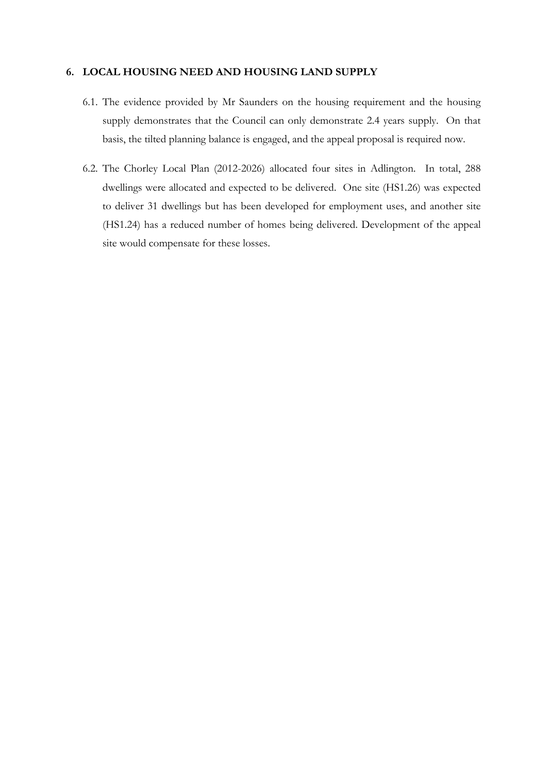#### **6. LOCAL HOUSING NEED AND HOUSING LAND SUPPLY**

- 6.1. The evidence provided by Mr Saunders on the housing requirement and the housing supply demonstrates that the Council can only demonstrate 2.4 years supply. On that basis, the tilted planning balance is engaged, and the appeal proposal is required now.
- 6.2. The Chorley Local Plan (2012-2026) allocated four sites in Adlington. In total, 288 dwellings were allocated and expected to be delivered. One site (HS1.26) was expected to deliver 31 dwellings but has been developed for employment uses, and another site (HS1.24) has a reduced number of homes being delivered. Development of the appeal site would compensate for these losses.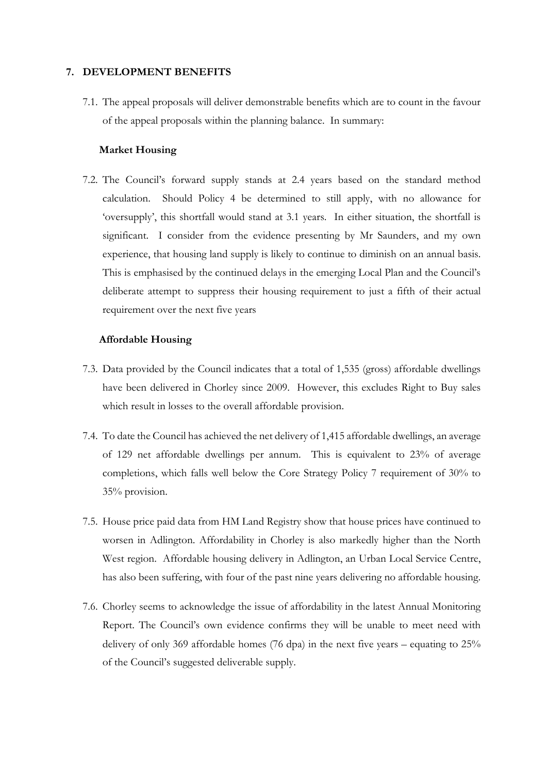### **7. DEVELOPMENT BENEFITS**

7.1. The appeal proposals will deliver demonstrable benefits which are to count in the favour of the appeal proposals within the planning balance. In summary:

# **Market Housing**

7.2. The Council's forward supply stands at 2.4 years based on the standard method calculation. Should Policy 4 be determined to still apply, with no allowance for 'oversupply', this shortfall would stand at 3.1 years. In either situation, the shortfall is significant. I consider from the evidence presenting by Mr Saunders, and my own experience, that housing land supply is likely to continue to diminish on an annual basis. This is emphasised by the continued delays in the emerging Local Plan and the Council's deliberate attempt to suppress their housing requirement to just a fifth of their actual requirement over the next five years

## **Affordable Housing**

- 7.3. Data provided by the Council indicates that a total of 1,535 (gross) affordable dwellings have been delivered in Chorley since 2009. However, this excludes Right to Buy sales which result in losses to the overall affordable provision.
- 7.4. To date the Council has achieved the net delivery of 1,415 affordable dwellings, an average of 129 net affordable dwellings per annum. This is equivalent to 23% of average completions, which falls well below the Core Strategy Policy 7 requirement of 30% to 35% provision.
- 7.5. House price paid data from HM Land Registry show that house prices have continued to worsen in Adlington. Affordability in Chorley is also markedly higher than the North West region. Affordable housing delivery in Adlington, an Urban Local Service Centre, has also been suffering, with four of the past nine years delivering no affordable housing.
- 7.6. Chorley seems to acknowledge the issue of affordability in the latest Annual Monitoring Report. The Council's own evidence confirms they will be unable to meet need with delivery of only 369 affordable homes (76 dpa) in the next five years – equating to 25% of the Council's suggested deliverable supply.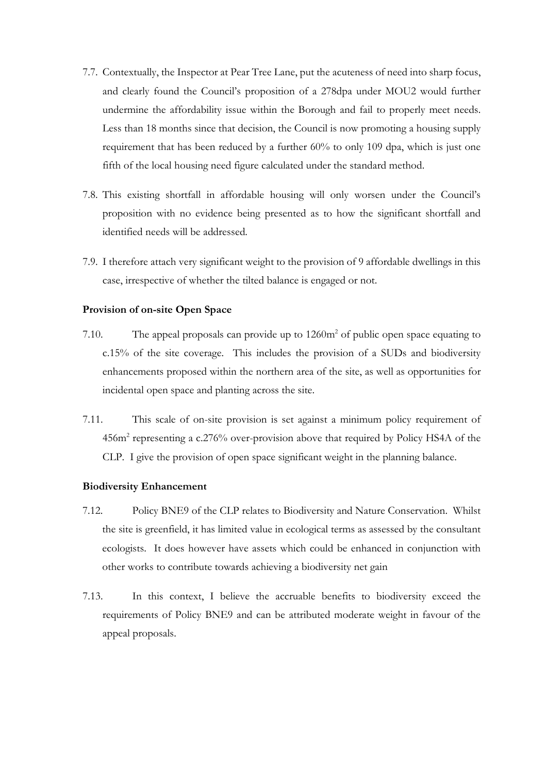- 7.7. Contextually, the Inspector at Pear Tree Lane, put the acuteness of need into sharp focus, and clearly found the Council's proposition of a 278dpa under MOU2 would further undermine the affordability issue within the Borough and fail to properly meet needs. Less than 18 months since that decision, the Council is now promoting a housing supply requirement that has been reduced by a further 60% to only 109 dpa, which is just one fifth of the local housing need figure calculated under the standard method.
- 7.8. This existing shortfall in affordable housing will only worsen under the Council's proposition with no evidence being presented as to how the significant shortfall and identified needs will be addressed.
- 7.9. I therefore attach very significant weight to the provision of 9 affordable dwellings in this case, irrespective of whether the tilted balance is engaged or not.

## **Provision of on-site Open Space**

- 7.10. The appeal proposals can provide up to  $1260m^2$  of public open space equating to c.15% of the site coverage. This includes the provision of a SUDs and biodiversity enhancements proposed within the northern area of the site, as well as opportunities for incidental open space and planting across the site.
- 7.11. This scale of on-site provision is set against a minimum policy requirement of 456m2 representing a c.276% over-provision above that required by Policy HS4A of the CLP. I give the provision of open space significant weight in the planning balance.

#### **Biodiversity Enhancement**

- 7.12. Policy BNE9 of the CLP relates to Biodiversity and Nature Conservation. Whilst the site is greenfield, it has limited value in ecological terms as assessed by the consultant ecologists. It does however have assets which could be enhanced in conjunction with other works to contribute towards achieving a biodiversity net gain
- 7.13. In this context, I believe the accruable benefits to biodiversity exceed the requirements of Policy BNE9 and can be attributed moderate weight in favour of the appeal proposals.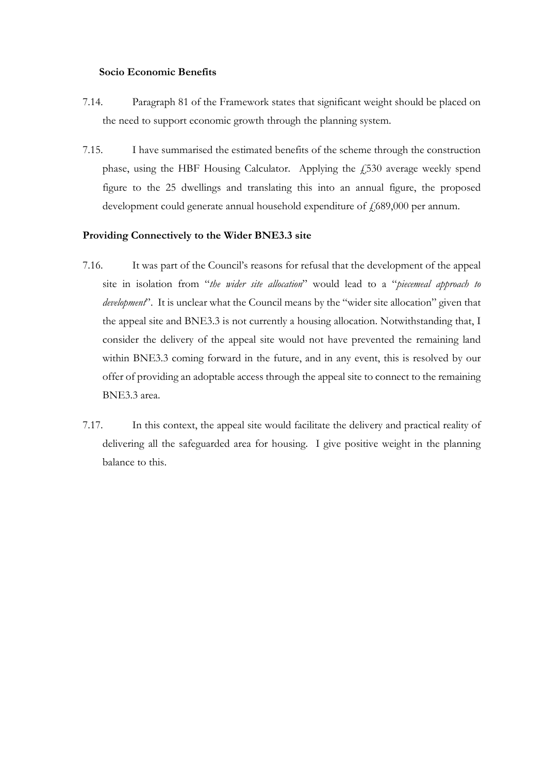#### **Socio Economic Benefits**

- 7.14. Paragraph 81 of the Framework states that significant weight should be placed on the need to support economic growth through the planning system.
- 7.15. I have summarised the estimated benefits of the scheme through the construction phase, using the HBF Housing Calculator. Applying the  $\overline{f}$  for average weekly spend figure to the 25 dwellings and translating this into an annual figure, the proposed development could generate annual household expenditure of  $f$ 689,000 per annum.

## **Providing Connectively to the Wider BNE3.3 site**

- 7.16. It was part of the Council's reasons for refusal that the development of the appeal site in isolation from "*the wider site allocation*" would lead to a "*piecemeal approach to development*". It is unclear what the Council means by the "wider site allocation" given that the appeal site and BNE3.3 is not currently a housing allocation. Notwithstanding that, I consider the delivery of the appeal site would not have prevented the remaining land within BNE3.3 coming forward in the future, and in any event, this is resolved by our offer of providing an adoptable access through the appeal site to connect to the remaining BNE3.3 area.
- 7.17. In this context, the appeal site would facilitate the delivery and practical reality of delivering all the safeguarded area for housing. I give positive weight in the planning balance to this.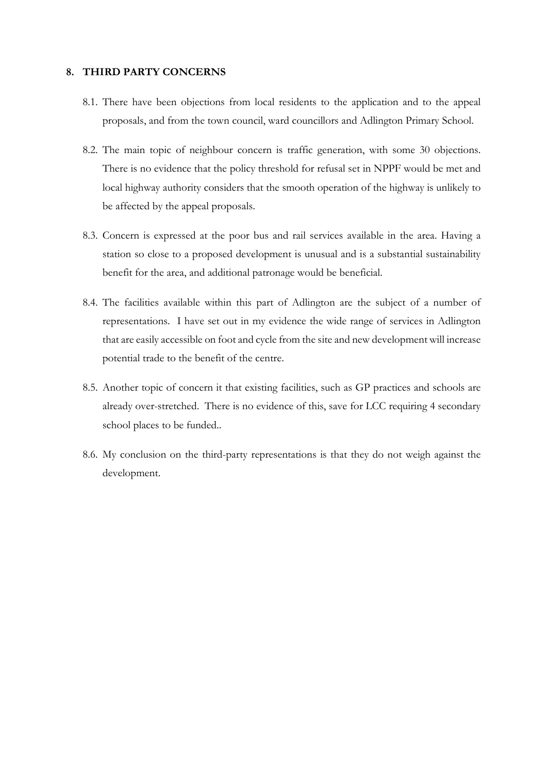#### **8. THIRD PARTY CONCERNS**

- 8.1. There have been objections from local residents to the application and to the appeal proposals, and from the town council, ward councillors and Adlington Primary School.
- 8.2. The main topic of neighbour concern is traffic generation, with some 30 objections. There is no evidence that the policy threshold for refusal set in NPPF would be met and local highway authority considers that the smooth operation of the highway is unlikely to be affected by the appeal proposals.
- 8.3. Concern is expressed at the poor bus and rail services available in the area. Having a station so close to a proposed development is unusual and is a substantial sustainability benefit for the area, and additional patronage would be beneficial.
- 8.4. The facilities available within this part of Adlington are the subject of a number of representations. I have set out in my evidence the wide range of services in Adlington that are easily accessible on foot and cycle from the site and new development will increase potential trade to the benefit of the centre.
- 8.5. Another topic of concern it that existing facilities, such as GP practices and schools are already over-stretched. There is no evidence of this, save for LCC requiring 4 secondary school places to be funded..
- 8.6. My conclusion on the third-party representations is that they do not weigh against the development.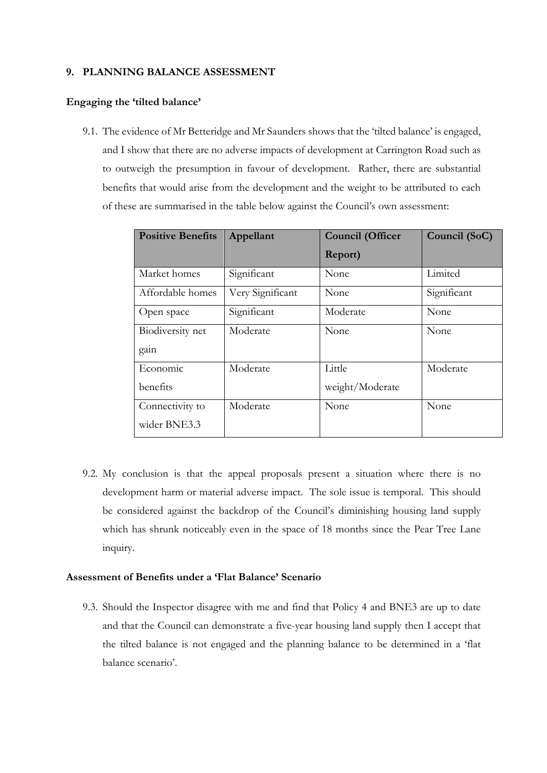### **9. PLANNING BALANCE ASSESSMENT**

#### **Engaging the 'tilted balance'**

9.1. The evidence of Mr Betteridge and Mr Saunders shows that the 'tilted balance' is engaged, and I show that there are no adverse impacts of development at Carrington Road such as to outweigh the presumption in favour of development. Rather, there are substantial benefits that would arise from the development and the weight to be attributed to each of these are summarised in the table below against the Council's own assessment:

| <b>Positive Benefits</b> | Appellant        | <b>Council (Officer</b> | Council (SoC) |
|--------------------------|------------------|-------------------------|---------------|
|                          |                  | Report)                 |               |
| Market homes             | Significant      | None                    | Limited       |
| Affordable homes         | Very Significant | None                    | Significant   |
| Open space               | Significant      | Moderate                | None          |
| Biodiversity net         | Moderate         | None                    | None          |
| gain                     |                  |                         |               |
| Economic                 | Moderate         | Little                  | Moderate      |
| benefits                 |                  | weight/Moderate         |               |
| Connectivity to          | Moderate         | None                    | None          |
| wider BNE3.3             |                  |                         |               |

9.2. My conclusion is that the appeal proposals present a situation where there is no development harm or material adverse impact. The sole issue is temporal. This should be considered against the backdrop of the Council's diminishing housing land supply which has shrunk noticeably even in the space of 18 months since the Pear Tree Lane inquiry.

# **Assessment of Benefits under a 'Flat Balance' Scenario**

9.3. Should the Inspector disagree with me and find that Policy 4 and BNE3 are up to date and that the Council can demonstrate a five-year housing land supply then I accept that the tilted balance is not engaged and the planning balance to be determined in a 'flat balance scenario'.